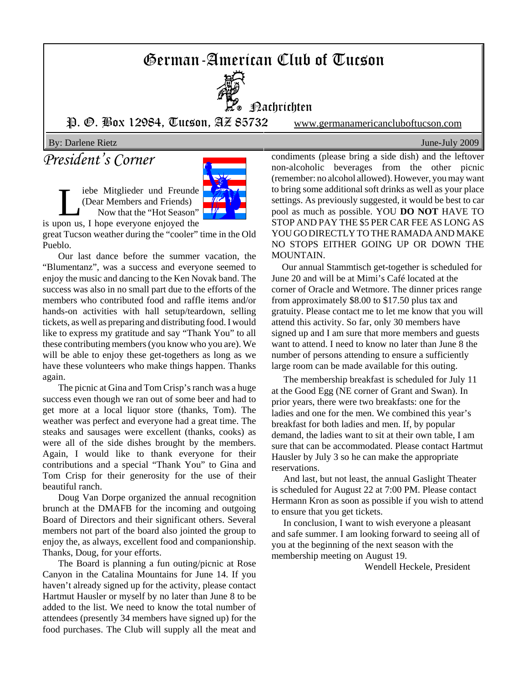# German-American Club of Tucson



**Hachrichten** 

P. O. Box 12984, Tucson, AZ 85732 www.germanamericancluboftucson.com

By: Darlene Rietz June-July 2009

# *President's Corner*

Liebe Mitglieder und Freunde<br>(Dear Members and Friends)<br>Now that the "Hot Season" (Dear Members and Friends) Now that the "Hot Season"



is upon us, I hope everyone enjoyed the great Tucson weather during the "cooler" time in the Old

Pueblo.

Our last dance before the summer vacation, the "Blumentanz", was a success and everyone seemed to enjoy the music and dancing to the Ken Novak band. The success was also in no small part due to the efforts of the members who contributed food and raffle items and/or hands-on activities with hall setup/teardown, selling tickets, as well as preparing and distributing food. I would like to express my gratitude and say "Thank You" to all these contributing members (you know who you are). We will be able to enjoy these get-togethers as long as we have these volunteers who make things happen. Thanks again.

The picnic at Gina and Tom Crisp's ranch was a huge success even though we ran out of some beer and had to get more at a local liquor store (thanks, Tom). The weather was perfect and everyone had a great time. The steaks and sausages were excellent (thanks, cooks) as were all of the side dishes brought by the members. Again, I would like to thank everyone for their contributions and a special "Thank You" to Gina and Tom Crisp for their generosity for the use of their beautiful ranch.

Doug Van Dorpe organized the annual recognition brunch at the DMAFB for the incoming and outgoing Board of Directors and their significant others. Several members not part of the board also jointed the group to enjoy the, as always, excellent food and companionship. Thanks, Doug, for your efforts.

The Board is planning a fun outing/picnic at Rose Canyon in the Catalina Mountains for June 14. If you haven't already signed up for the activity, please contact Hartmut Hausler or myself by no later than June 8 to be added to the list. We need to know the total number of attendees (presently 34 members have signed up) for the food purchases. The Club will supply all the meat and

condiments (please bring a side dish) and the leftover non-alcoholic beverages from the other picnic (remember: no alcohol allowed). However, you may want to bring some additional soft drinks as well as your place settings. As previously suggested, it would be best to car pool as much as possible. YOU **DO NOT** HAVE TO STOP AND PAY THE \$5 PER CAR FEE AS LONG AS YOU GO DIRECTLY TO THE RAMADA AND MAKE NO STOPS EITHER GOING UP OR DOWN THE MOUNTAIN.

 Our annual Stammtisch get-together is scheduled for June 20 and will be at Mimi's Café located at the corner of Oracle and Wetmore. The dinner prices range from approximately \$8.00 to \$17.50 plus tax and gratuity. Please contact me to let me know that you will attend this activity. So far, only 30 members have signed up and I am sure that more members and guests want to attend. I need to know no later than June 8 the number of persons attending to ensure a sufficiently large room can be made available for this outing.

 The membership breakfast is scheduled for July 11 at the Good Egg (NE corner of Grant and Swan). In prior years, there were two breakfasts: one for the ladies and one for the men. We combined this year's breakfast for both ladies and men. If, by popular demand, the ladies want to sit at their own table, I am sure that can be accommodated. Please contact Hartmut Hausler by July 3 so he can make the appropriate reservations.

 And last, but not least, the annual Gaslight Theater is scheduled for August 22 at 7:00 PM. Please contact Hermann Kron as soon as possible if you wish to attend to ensure that you get tickets.

 In conclusion, I want to wish everyone a pleasant and safe summer. I am looking forward to seeing all of you at the beginning of the next season with the membership meeting on August 19.

Wendell Heckele, President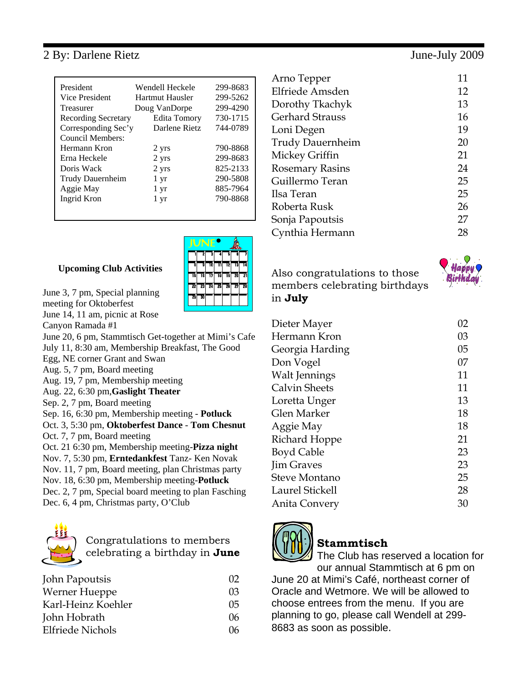## 2 By: Darlene Rietz June-July 2009

| President                  | Wendell Heckele     | 299-8683 |
|----------------------------|---------------------|----------|
| Vice President             | Hartmut Hausler     | 299-5262 |
| Treasurer                  | Doug VanDorpe       | 299-4290 |
|                            | <b>Edita Tomory</b> | 730-1715 |
| <b>Recording Secretary</b> |                     |          |
| Corresponding Sec'y        | Darlene Rietz       | 744-0789 |
| Council Members:           |                     |          |
| Hermann Kron               | 2 yrs               | 790-8868 |
| Erna Heckele               | 2 yrs               | 299-8683 |
| Doris Wack                 | 2 yrs               | 825-2133 |
| Trudy Dauernheim           | 1 yr                | 290-5808 |
| Aggie May                  | 1 yr                | 885-7964 |
| Ingrid Kron                | 1 yr                | 790-8868 |
|                            |                     |          |

#### **Upcoming Club Activities**



- June 3, 7 pm, Special planning meeting for Oktoberfest June 14, 11 am, picnic at Rose Canyon Ramada #1 June 20, 6 pm, Stammtisch Get-together at Mimi's Cafe July 11, 8:30 am, Membership Breakfast, The Good Egg, NE corner Grant and Swan
- Aug. 5, 7 pm, Board meeting
- Aug. 19, 7 pm, Membership meeting
- Aug. 22, 6:30 pm,**Gaslight Theater**
- Sep. 2, 7 pm, Board meeting
- Sep. 16, 6:30 pm, Membership meeting **Potluck**
- Oct. 3, 5:30 pm, **Oktoberfest Dance Tom Chesnut** Oct. 7, 7 pm, Board meeting
- Oct. 21 6:30 pm, Membership meeting-**Pizza night**
- Nov. 7, 5:30 pm, **Erntedankfest** Tanz- Ken Novak
- Nov. 11, 7 pm, Board meeting, plan Christmas party
- Nov. 18, 6:30 pm, Membership meeting-**Potluck**
- Dec. 2, 7 pm, Special board meeting to plan Fasching
- Dec. 6, 4 pm, Christmas party, O'Club



## Congratulations to members celebrating a birthday in **June**

| John Papoutsis          | $\Omega$ |
|-------------------------|----------|
| Werner Hueppe           | 03       |
| Karl-Heinz Koehler      | 05       |
| John Hobrath            | 06       |
| <b>Elfriede Nichols</b> | 06       |

| 11 |
|----|
| 12 |
| 13 |
| 16 |
| 19 |
| 20 |
| 21 |
| 24 |
| 25 |
| 25 |
| 26 |
| 27 |
| 28 |
|    |

### Also congratulations to those members celebrating birthdays in **July**

| Dieter Mayer         | 02 |
|----------------------|----|
| Hermann Kron         | 03 |
| Georgia Harding      | 05 |
| Don Vogel            | 07 |
| Walt Jennings        | 11 |
| Calvin Sheets        | 11 |
| Loretta Unger        | 13 |
| Glen Marker          | 18 |
| Aggie May            | 18 |
| Richard Hoppe        | 21 |
| <b>Boyd Cable</b>    | 23 |
| <b>Jim Graves</b>    | 23 |
| <b>Steve Montano</b> | 25 |
| Laurel Stickell      | 28 |
| Anita Convery        | 30 |



## **Stammtisch**

The Club has reserved a location for our annual Stammtisch at 6 pm on June 20 at Mimi's Café, northeast corner of

Oracle and Wetmore. We will be allowed to choose entrees from the menu. If you are planning to go, please call Wendell at 299- 8683 as soon as possible.

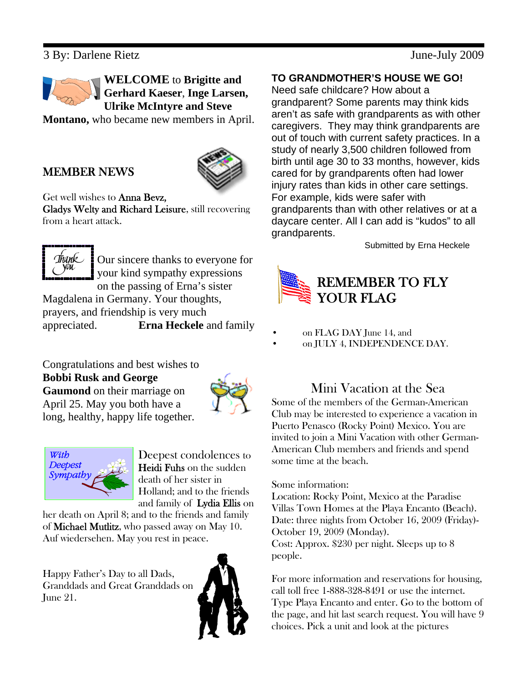## 3 By: Darlene Rietz June-July 2009



**WELCOME** to **Brigitte and Gerhard Kaeser**, **Inge Larsen, Ulrike McIntyre and Steve**

**Montano,** who became new members in April.

## MEMBER NEWS



#### Get well wishes to Anna Bevz,

Gladys Welty and Richard Leisure, still recovering from a heart attack.



Our sincere thanks to everyone for your kind sympathy expressions on the passing of Erna's sister

Magdalena in Germany. Your thoughts, prayers, and friendship is very much appreciated. **Erna Heckele** and family

Congratulations and best wishes to **Bobbi Rusk and George Gaumond** on their marriage on April 25. May you both have a long, healthy, happy life together.





Deepest condolences to Heidi Fuhs on the sudden death of her sister in Holland; and to the friends and family of Lydia Ellis on

her death on April 8; and to the friends and family of Michael Mutlitz, who passed away on May 10. Auf wiedersehen. May you rest in peace.

Happy Father's Day to all Dads, Granddads and Great Granddads on June 21.



#### **TO GRANDMOTHER'S HOUSE WE GO!**

Need safe childcare? How about a grandparent? Some parents may think kids aren't as safe with grandparents as with other caregivers. They may think grandparents are out of touch with current safety practices. In a study of nearly 3,500 children followed from birth until age 30 to 33 months, however, kids cared for by grandparents often had lower injury rates than kids in other care settings. For example, kids were safer with grandparents than with other relatives or at a daycare center. All I can add is "kudos" to all grandparents.

Submitted by Erna Heckele



- on FLAG DAY June 14, and
- on JULY 4, INDEPENDENCE DAY.

## Mini Vacation at the Sea

Some of the members of the German-American Club may be interested to experience a vacation in Puerto Penasco (Rocky Point) Mexico. You are invited to join a Mini Vacation with other German-American Club members and friends and spend some time at the beach.

#### Some information:

Location: Rocky Point, Mexico at the Paradise Villas Town Homes at the Playa Encanto (Beach). Date: three nights from October 16, 2009 (Friday)- October 19, 2009 (Monday). Cost: Approx. \$230 per night. Sleeps up to 8 people.

For more information and reservations for housing, call toll free 1-888-328-8491 or use the internet. Type Playa Encanto and enter. Go to the bottom of the page, and hit last search request. You will have 9 choices. Pick a unit and look at the pictures